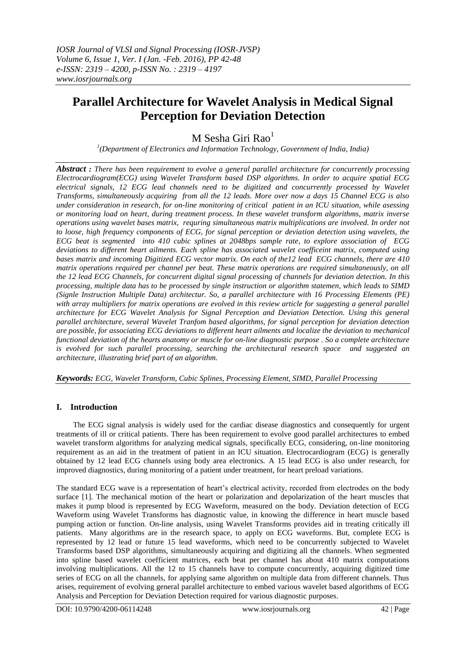# **Parallel Architecture for Wavelet Analysis in Medical Signal Perception for Deviation Detection**

## M Sesha Giri Rao<sup>1</sup>

*1 (Department of Electronics and Information Technology, Government of India, India)*

*Abstract : There has been requirement to evolve a general parallel architecture for concurrently processing Electrocardiogram(ECG) using Wavelet Transform based DSP algorithms. In order to acquire spatial ECG electrical signals, 12 ECG lead channels need to be digitized and concurrently processed by Wavelet Transforms, simultaneously acquiring from all the 12 leads. More over now a days 15 Channel ECG is also under consideration in research, for on-line monitoring of critical patient in an ICU situation, while asessing or monitoring load on heart, during treatment process. In these wavelet transform algorithms, matrix inverse operations using wavelet bases matrix, requring simultaneous matrix multiplications are involved. In order not to loose, high frequency components of ECG, for signal perception or deviation detection using wavelets, the ECG beat is segmented into 410 cubic splines at 2048bps sample rate, to explore association of ECG deviations to different heart ailments. Each spline has associated wavelet coefficeint matrix, computed using bases matrix and incoming Digitized ECG vector matrix. On each of the12 lead ECG channels, there are 410 matrix operations required per channel per beat. These matrix operations are required simultaneously, on all the 12 lead ECG Channels, for concurrent digital signal processing of channels for deviation detection. In this processing, multiple data has to be processed by single instruction or algorithm statemen, which leads to SIMD (Signle Instruction Multiple Data) architectur. So, a parallel architecture with 16 Processing Elements (PE) with array multipliers for matrix operations are evolved in this review article for suggesting a general parallel architecture for ECG Wavelet Analysis for Signal Perception and Deviation Detection. Using this general parallel architecture, several Wavelet Tranfom based algorithms, for signal perception for deviation detection are possible, for associating ECG deviations to different heart ailments and localize the deviation to mechanical functional deviation of the hearts anatomy or muscle for on-line diagnostic purpose . So a complete architecture is evolved for such parallel processing, searching the architectural research space and suggested an architecture, illustrating brief part of an algorithm.* 

*Keywords: ECG, Wavelet Transform, Cubic Splines, Processing Element, SIMD, Parallel Processing*

### **I. Introduction**

The ECG signal analysis is widely used for the cardiac disease diagnostics and consequently for urgent treatments of ill or critical patients. There has been requirement to evolve good parallel architectures to embed wavelet transform algorithms for analyzing medical signals, specifically ECG, considering, on-line monitoring requirement as an aid in the treatment of patient in an ICU situation. Electrocardiogram (ECG) is generally obtained by 12 lead ECG channels using body area electronics. A 15 lead ECG is also under research, for improved diagnostics, during monitoring of a patient under treatment, for heart preload variations.

The standard ECG wave is a representation of heart's electrical activity, recorded from electrodes on the body surface [1]. The mechanical motion of the heart or polarization and depolarization of the heart muscles that makes it pump blood is represented by ECG Waveform, measured on the body. Deviation detection of ECG Waveform using Wavelet Transforms has diagnostic value, in knowing the difference in heart muscle based pumping action or function. On-line analysis, using Wavelet Transforms provides aid in treating critically ill patients. Many algorithms are in the research space, to apply on ECG waveforms. But, complete ECG is represented by 12 lead or future 15 lead waveforms, which need to be concurrently subjected to Wavelet Transforms based DSP algorithms, simultaneously acquiring and digitizing all the channels. When segmented into spline based wavelet coefficient matrices, each beat per channel has about 410 matrix computations involving multiplications. All the 12 to 15 channels have to compute concurrently, acquiring digitized time series of ECG on all the channels, for applying same algorithm on multiple data from different channels. Thus arises, requirement of evolving general parallel architecture to embed various wavelet based algorithms of ECG Analysis and Perception for Deviation Detection required for various diagnostic purposes.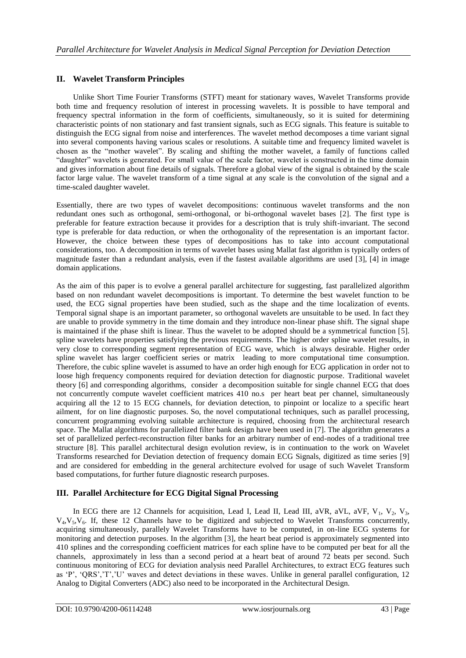#### **II. Wavelet Transform Principles**

Unlike Short Time Fourier Transforms (STFT) meant for stationary waves, Wavelet Transforms provide both time and frequency resolution of interest in processing wavelets. It is possible to have temporal and frequency spectral information in the form of coefficients, simultaneously, so it is suited for determining characteristic points of non stationary and fast transient signals, such as ECG signals. This feature is suitable to distinguish the ECG signal from noise and interferences. The wavelet method decomposes a time variant signal into several components having various scales or resolutions. A suitable time and frequency limited wavelet is chosen as the "mother wavelet". By scaling and shifting the mother wavelet, a family of functions called "daughter" wavelets is generated. For small value of the scale factor, wavelet is constructed in the time domain and gives information about fine details of signals. Therefore a global view of the signal is obtained by the scale factor large value. The wavelet transform of a time signal at any scale is the convolution of the signal and a time-scaled daughter wavelet.

Essentially, there are two types of wavelet decompositions: continuous wavelet transforms and the non redundant ones such as orthogonal, semi-orthogonal, or bi-orthogonal wavelet bases [2]. The first type is preferable for feature extraction because it provides for a description that is truly shift-invariant. The second type is preferable for data reduction, or when the orthogonality of the representation is an important factor. However, the choice between these types of decompositions has to take into account computational considerations, too. A decomposition in terms of wavelet bases using Mallat fast algorithm is typically orders of magnitude faster than a redundant analysis, even if the fastest available algorithms are used [3], [4] in image domain applications.

As the aim of this paper is to evolve a general parallel architecture for suggesting, fast parallelized algorithm based on non redundant wavelet decompositions is important. To determine the best wavelet function to be used, the ECG signal properties have been studied, such as the shape and the time localization of events. Temporal signal shape is an important parameter, so orthogonal wavelets are unsuitable to be used. In fact they are unable to provide symmetry in the time domain and they introduce non-linear phase shift. The signal shape is maintained if the phase shift is linear. Thus the wavelet to be adopted should be a symmetrical function [5]. spline wavelets have properties satisfying the previous requirements. The higher order spline wavelet results, in very close to corresponding segment representation of ECG wave, which is always desirable. Higher order spline wavelet has larger coefficient series or matrix leading to more computational time consumption. Therefore, the cubic spline wavelet is assumed to have an order high enough for ECG application in order not to loose high frequency components required for deviation detection for diagnostic purpose. Traditional wavelet theory [6] and corresponding algorithms, consider a decomposition suitable for single channel ECG that does not concurrently compute wavelet coefficient matrices 410 no.s per heart beat per channel, simultaneously acquiring all the 12 to 15 ECG channels, for deviation detection, to pinpoint or localize to a specific heart ailment, for on line diagnostic purposes. So, the novel computational techniques, such as parallel processing, concurrent programming evolving suitable architecture is required, choosing from the architectural research space. The Mallat algorithms for parallelized filter bank design have been used in [7]. The algorithm generates a set of parallelized perfect-reconstruction filter banks for an arbitrary number of end-nodes of a traditional tree structure [8]. This parallel architectural design evolution review, is in continuation to the work on Wavelet Transforms researched for Deviation detection of frequency domain ECG Signals, digitized as time series [9] and are considered for embedding in the general architecture evolved for usage of such Wavelet Transform based computations, for further future diagnostic research purposes.

### **III. Parallel Architecture for ECG Digital Signal Processing**

In ECG there are 12 Channels for acquisition, Lead I, Lead II, Lead III, aVR, aVL, aVF,  $V_1$ ,  $V_2$ ,  $V_3$ ,  $V_4$ ,  $V_5$ ,  $V_6$ . If, these 12 Channels have to be digitized and subjected to Wavelet Transforms concurrently, acquiring simultaneously, parallely Wavelet Transforms have to be computed, in on-line ECG systems for monitoring and detection purposes. In the algorithm [3], the heart beat period is approximately segmented into 410 splines and the corresponding coefficient matrices for each spline have to be computed per beat for all the channels, approximately in less than a second period at a heart beat of around 72 beats per second. Such continuous monitoring of ECG for deviation analysis need Parallel Architectures, to extract ECG features such as 'P', 'QRS','T','U' waves and detect deviations in these waves. Unlike in general parallel configuration, 12 Analog to Digital Converters (ADC) also need to be incorporated in the Architectural Design.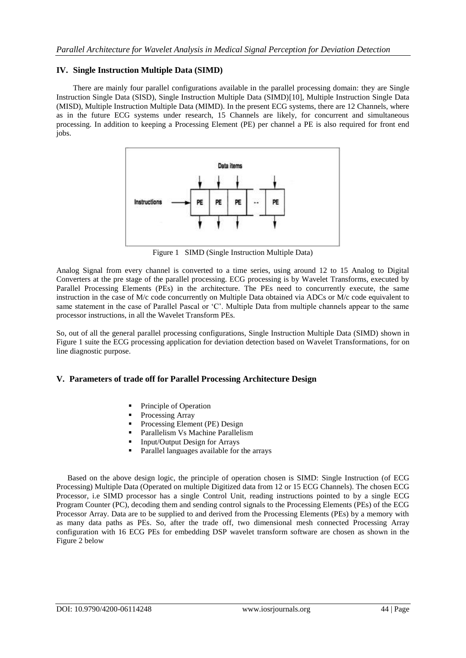#### **IV. Single Instruction Multiple Data (SIMD)**

There are mainly four parallel configurations available in the parallel processing domain: they are Single Instruction Single Data (SISD), Single Instruction Multiple Data (SIMD)[10], Multiple Instruction Single Data (MISD), Multiple Instruction Multiple Data (MIMD). In the present ECG systems, there are 12 Channels, where as in the future ECG systems under research, 15 Channels are likely, for concurrent and simultaneous processing. In addition to keeping a Processing Element (PE) per channel a PE is also required for front end jobs.



Figure 1 SIMD (Single Instruction Multiple Data)

Analog Signal from every channel is converted to a time series, using around 12 to 15 Analog to Digital Converters at the pre stage of the parallel processing. ECG processing is by Wavelet Transforms, executed by Parallel Processing Elements (PEs) in the architecture. The PEs need to concurrently execute, the same instruction in the case of M/c code concurrently on Multiple Data obtained via ADCs or M/c code equivalent to same statement in the case of Parallel Pascal or 'C'. Multiple Data from multiple channels appear to the same processor instructions, in all the Wavelet Transform PEs.

So, out of all the general parallel processing configurations, Single Instruction Multiple Data (SIMD) shown in Figure 1 suite the ECG processing application for deviation detection based on Wavelet Transformations, for on line diagnostic purpose.

#### **V. Parameters of trade off for Parallel Processing Architecture Design**

- Principle of Operation
- Processing Array
- Processing Element (PE) Design
- Parallelism Vs Machine Parallelism
- Input/Output Design for Arrays
- Parallel languages available for the arrays

Based on the above design logic, the principle of operation chosen is SIMD: Single Instruction (of ECG Processing) Multiple Data (Operated on multiple Digitized data from 12 or 15 ECG Channels). The chosen ECG Processor, i.e SIMD processor has a single Control Unit, reading instructions pointed to by a single ECG Program Counter (PC), decoding them and sending control signals to the Processing Elements (PEs) of the ECG Processor Array. Data are to be supplied to and derived from the Processing Elements (PEs) by a memory with as many data paths as PEs. So, after the trade off, two dimensional mesh connected Processing Array configuration with 16 ECG PEs for embedding DSP wavelet transform software are chosen as shown in the Figure 2 below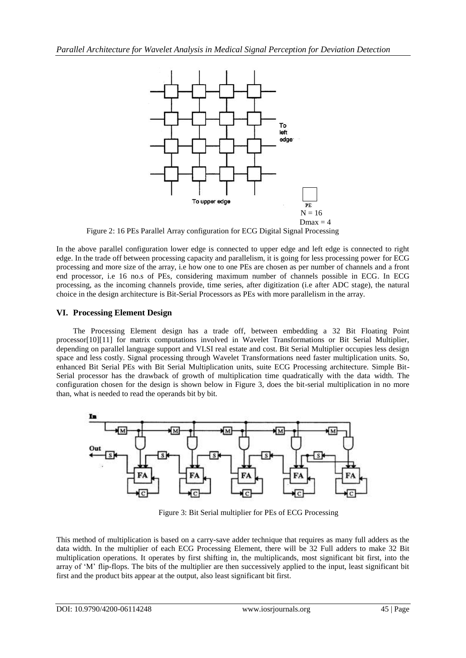

Figure 2: 16 PEs Parallel Array configuration for ECG Digital Signal Processing

In the above parallel configuration lower edge is connected to upper edge and left edge is connected to right edge. In the trade off between processing capacity and parallelism, it is going for less processing power for ECG processing and more size of the array, i.e how one to one PEs are chosen as per number of channels and a front end processor, i.e 16 no.s of PEs, considering maximum number of channels possible in ECG. In ECG processing, as the incoming channels provide, time series, after digitization (i.e after ADC stage), the natural choice in the design architecture is Bit-Serial Processors as PEs with more parallelism in the array.

#### **VI. Processing Element Design**

The Processing Element design has a trade off, between embedding a 32 Bit Floating Point processor[10][11] for matrix computations involved in Wavelet Transformations or Bit Serial Multiplier, depending on parallel language support and VLSI real estate and cost. Bit Serial Multiplier occupies less design space and less costly. Signal processing through Wavelet Transformations need faster multiplication units. So, enhanced Bit Serial PEs with Bit Serial Multiplication units, suite ECG Processing architecture. Simple Bit-Serial processor has the drawback of growth of multiplication time quadratically with the data width. The configuration chosen for the design is shown below in Figure 3, does the bit-serial multiplication in no more than, what is needed to read the operands bit by bit.



Figure 3: Bit Serial multiplier for PEs of ECG Processing

This method of multiplication is based on a carry-save adder technique that requires as many full adders as the data width. In the multiplier of each ECG Processing Element, there will be 32 Full adders to make 32 Bit multiplication operations. It operates by first shifting in, the multiplicands, most significant bit first, into the array of "M" flip-flops. The bits of the multiplier are then successively applied to the input, least significant bit first and the product bits appear at the output, also least significant bit first.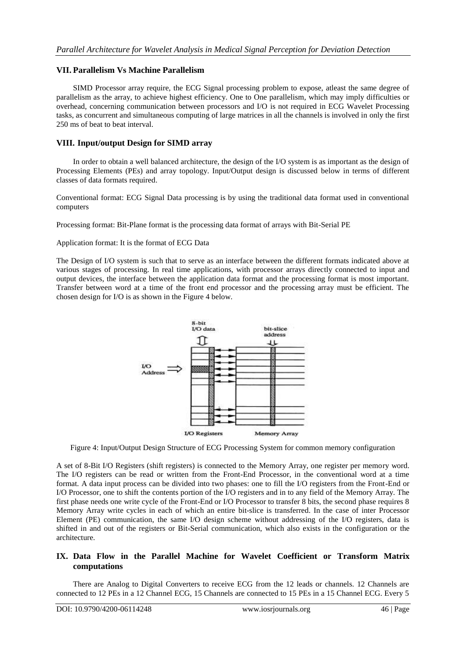#### **VII. Parallelism Vs Machine Parallelism**

SIMD Processor array require, the ECG Signal processing problem to expose, atleast the same degree of parallelism as the array, to achieve highest efficiency. One to One parallelism, which may imply difficulties or overhead, concerning communication between processors and I/O is not required in ECG Wavelet Processing tasks, as concurrent and simultaneous computing of large matrices in all the channels is involved in only the first 250 ms of beat to beat interval.

#### **VIII. Input/output Design for SIMD array**

In order to obtain a well balanced architecture, the design of the I/O system is as important as the design of Processing Elements (PEs) and array topology. Input/Output design is discussed below in terms of different classes of data formats required.

Conventional format: ECG Signal Data processing is by using the traditional data format used in conventional computers

Processing format: Bit-Plane format is the processing data format of arrays with Bit-Serial PE

Application format: It is the format of ECG Data

The Design of I/O system is such that to serve as an interface between the different formats indicated above at various stages of processing. In real time applications, with processor arrays directly connected to input and output devices, the interface between the application data format and the processing format is most important. Transfer between word at a time of the front end processor and the processing array must be efficient. The chosen design for I/O is as shown in the Figure 4 below.



Figure 4: Input/Output Design Structure of ECG Processing System for common memory configuration

A set of 8-Bit I/O Registers (shift registers) is connected to the Memory Array, one register per memory word. The I/O registers can be read or written from the Front-End Processor, in the conventional word at a time format. A data input process can be divided into two phases: one to fill the I/O registers from the Front-End or I/O Processor, one to shift the contents portion of the I/O registers and in to any field of the Memory Array. The first phase needs one write cycle of the Front-End or I/O Processor to transfer 8 bits, the second phase requires 8 Memory Array write cycles in each of which an entire bit-slice is transferred. In the case of inter Processor Element (PE) communication, the same I/O design scheme without addressing of the I/O registers, data is shifted in and out of the registers or Bit-Serial communication, which also exists in the configuration or the architecture.

#### **IX. Data Flow in the Parallel Machine for Wavelet Coefficient or Transform Matrix computations**

There are Analog to Digital Converters to receive ECG from the 12 leads or channels. 12 Channels are connected to 12 PEs in a 12 Channel ECG, 15 Channels are connected to 15 PEs in a 15 Channel ECG. Every 5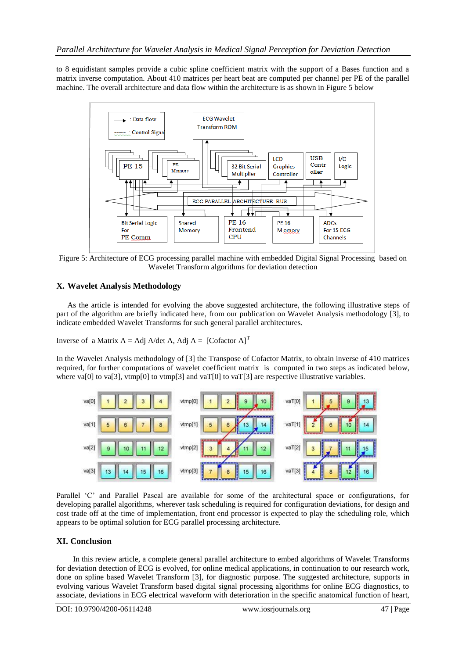to 8 equidistant samples provide a cubic spline coefficient matrix with the support of a Bases function and a matrix inverse computation. About 410 matrices per heart beat are computed per channel per PE of the parallel machine. The overall architecture and data flow within the architecture is as shown in Figure 5 below



Figure 5: Architecture of ECG processing parallel machine with embedded Digital Signal Processing based on Wavelet Transform algorithms for deviation detection

### **X. Wavelet Analysis Methodology**

As the article is intended for evolving the above suggested architecture, the following illustrative steps of part of the algorithm are briefly indicated here, from our publication on Wavelet Analysis methodology [3], to indicate embedded Wavelet Transforms for such general parallel architectures.

Inverse of a Matrix  $A = Adj A/det A$ , Adj  $A = [Cofactor A]^{T}$ 

In the Wavelet Analysis methodology of [3] the Transpose of Cofactor Matrix, to obtain inverse of 410 matrices required, for further computations of wavelet coefficient matrix is computed in two steps as indicated below, where va[0] to va[3], vtmp[0] to vtmp[3] and vaT[0] to vaT[3] are respective illustrative variables.



Parallel "C" and Parallel Pascal are available for some of the architectural space or configurations, for developing parallel algorithms, wherever task scheduling is required for configuration deviations, for design and cost trade off at the time of implementation, front end processor is expected to play the scheduling role, which appears to be optimal solution for ECG parallel processing architecture.

### **XI. Conclusion**

In this review article, a complete general parallel architecture to embed algorithms of Wavelet Transforms for deviation detection of ECG is evolved, for online medical applications, in continuation to our research work, done on spline based Wavelet Transform [3], for diagnostic purpose. The suggested architecture, supports in evolving various Wavelet Transform based digital signal processing algorithms for online ECG diagnostics, to associate, deviations in ECG electrical waveform with deterioration in the specific anatomical function of heart,